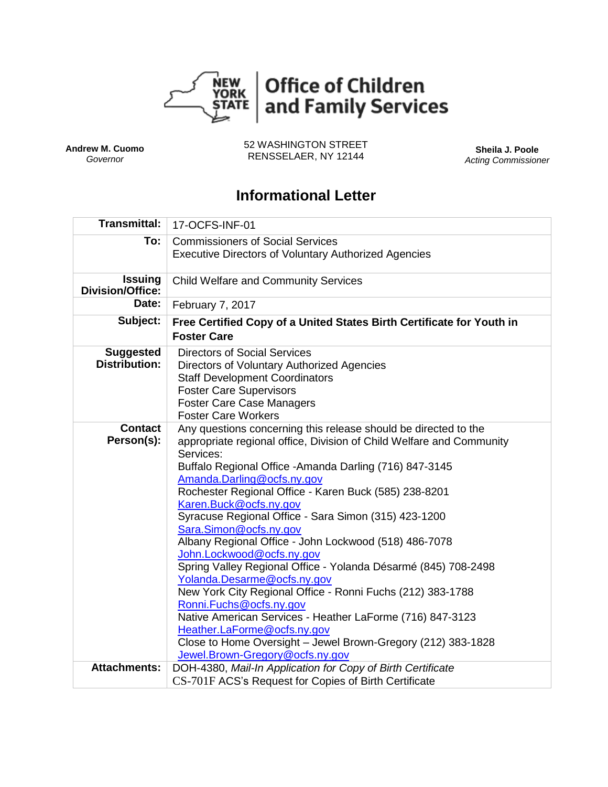

**Andrew M. Cuomo** *Governor*

52 WASHINGTON STREET RENSSELAER, NY 12144 **Sheila J. Poole**

*Acting Commissioner*

# **Informational Letter**

| <b>Transmittal:</b>                       | 17-OCFS-INF-01                                                                                                                                                                                                                                                                                                                                                                                                                                                                                                                                                                                                                                                                                                                                                                                                                                                                                    |  |  |  |  |  |
|-------------------------------------------|---------------------------------------------------------------------------------------------------------------------------------------------------------------------------------------------------------------------------------------------------------------------------------------------------------------------------------------------------------------------------------------------------------------------------------------------------------------------------------------------------------------------------------------------------------------------------------------------------------------------------------------------------------------------------------------------------------------------------------------------------------------------------------------------------------------------------------------------------------------------------------------------------|--|--|--|--|--|
| To:                                       | <b>Commissioners of Social Services</b><br><b>Executive Directors of Voluntary Authorized Agencies</b>                                                                                                                                                                                                                                                                                                                                                                                                                                                                                                                                                                                                                                                                                                                                                                                            |  |  |  |  |  |
| <b>Issuing</b><br><b>Division/Office:</b> | <b>Child Welfare and Community Services</b>                                                                                                                                                                                                                                                                                                                                                                                                                                                                                                                                                                                                                                                                                                                                                                                                                                                       |  |  |  |  |  |
| Date:                                     | February 7, 2017                                                                                                                                                                                                                                                                                                                                                                                                                                                                                                                                                                                                                                                                                                                                                                                                                                                                                  |  |  |  |  |  |
| Subject:                                  | Free Certified Copy of a United States Birth Certificate for Youth in<br><b>Foster Care</b>                                                                                                                                                                                                                                                                                                                                                                                                                                                                                                                                                                                                                                                                                                                                                                                                       |  |  |  |  |  |
| <b>Suggested</b><br><b>Distribution:</b>  | <b>Directors of Social Services</b><br>Directors of Voluntary Authorized Agencies<br><b>Staff Development Coordinators</b><br><b>Foster Care Supervisors</b><br><b>Foster Care Case Managers</b><br><b>Foster Care Workers</b>                                                                                                                                                                                                                                                                                                                                                                                                                                                                                                                                                                                                                                                                    |  |  |  |  |  |
| <b>Contact</b><br>Person(s):              | Any questions concerning this release should be directed to the<br>appropriate regional office, Division of Child Welfare and Community<br>Services:<br>Buffalo Regional Office - Amanda Darling (716) 847-3145<br>Amanda.Darling@ocfs.ny.gov<br>Rochester Regional Office - Karen Buck (585) 238-8201<br>Karen.Buck@ocfs.ny.gov<br>Syracuse Regional Office - Sara Simon (315) 423-1200<br>Sara.Simon@ocfs.ny.gov<br>Albany Regional Office - John Lockwood (518) 486-7078<br>John.Lockwood@ocfs.ny.gov<br>Spring Valley Regional Office - Yolanda Désarmé (845) 708-2498<br>Yolanda.Desarme@ocfs.ny.gov<br>New York City Regional Office - Ronni Fuchs (212) 383-1788<br>Ronni.Fuchs@ocfs.ny.gov<br>Native American Services - Heather LaForme (716) 847-3123<br>Heather.LaForme@ocfs.ny.gov<br>Close to Home Oversight - Jewel Brown-Gregory (212) 383-1828<br>Jewel.Brown-Gregory@ocfs.ny.gov |  |  |  |  |  |
| <b>Attachments:</b>                       | DOH-4380, Mail-In Application for Copy of Birth Certificate                                                                                                                                                                                                                                                                                                                                                                                                                                                                                                                                                                                                                                                                                                                                                                                                                                       |  |  |  |  |  |
|                                           | CS-701F ACS's Request for Copies of Birth Certificate                                                                                                                                                                                                                                                                                                                                                                                                                                                                                                                                                                                                                                                                                                                                                                                                                                             |  |  |  |  |  |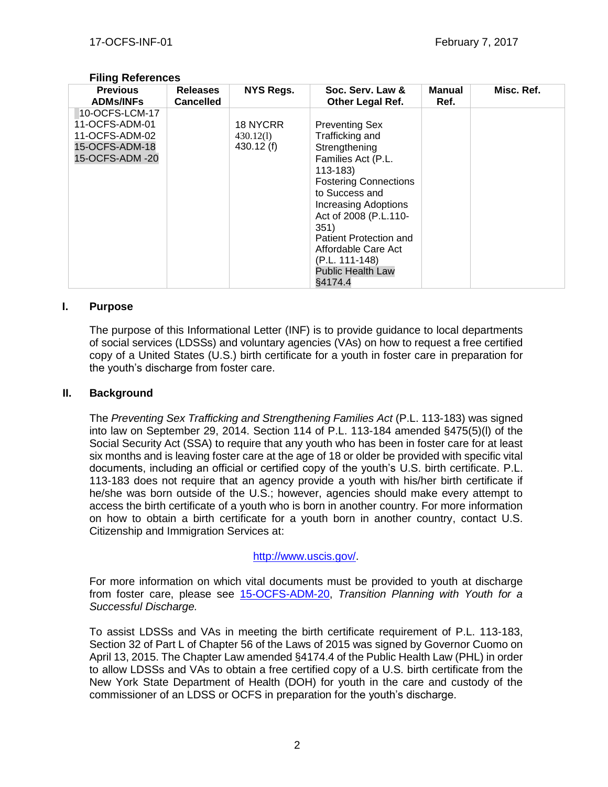| <b>Previous</b><br><b>ADMs/INFs</b>                                                     | <b>Releases</b><br><b>Cancelled</b> | <b>NYS Regs.</b>                   | Soc. Serv. Law &<br><b>Other Legal Ref.</b>                                                                                                                                                                                                                                                                                | <b>Manual</b><br>Ref. | Misc. Ref. |
|-----------------------------------------------------------------------------------------|-------------------------------------|------------------------------------|----------------------------------------------------------------------------------------------------------------------------------------------------------------------------------------------------------------------------------------------------------------------------------------------------------------------------|-----------------------|------------|
| 10-OCFS-LCM-17<br>11-OCFS-ADM-01<br>11-OCFS-ADM-02<br>15-OCFS-ADM-18<br>15-OCFS-ADM -20 |                                     | 18 NYCRR<br>430.12(1)<br>430.12(f) | <b>Preventing Sex</b><br>Trafficking and<br>Strengthening<br>Families Act (P.L.<br>$113 - 183$<br><b>Fostering Connections</b><br>to Success and<br><b>Increasing Adoptions</b><br>Act of 2008 (P.L.110-<br>351)<br>Patient Protection and<br>Affordable Care Act<br>(P.L. 111-148)<br><b>Public Health Law</b><br>§4174.4 |                       |            |

#### **Filing References**

#### **I. Purpose**

The purpose of this Informational Letter (INF) is to provide guidance to local departments of social services (LDSSs) and voluntary agencies (VAs) on how to request a free certified copy of a United States (U.S.) birth certificate for a youth in foster care in preparation for the youth's discharge from foster care.

#### **II. Background**

The *Preventing Sex Trafficking and Strengthening Families Act* (P.L. 113-183) was signed into law on September 29, 2014. Section 114 of P.L. 113-184 amended §475(5)(l) of the Social Security Act (SSA) to require that any youth who has been in foster care for at least six months and is leaving foster care at the age of 18 or older be provided with specific vital documents, including an official or certified copy of the youth's U.S. birth certificate. P.L. 113-183 does not require that an agency provide a youth with his/her birth certificate if he/she was born outside of the U.S.; however, agencies should make every attempt to access the birth certificate of a youth who is born in another country. For more information on how to obtain a birth certificate for a youth born in another country, contact U.S. Citizenship and Immigration Services at:

## [http://www.uscis.gov/.](http://www.uscis.gov/)

For more information on which vital documents must be provided to youth at discharge from foster care, please see [15-OCFS-ADM-20,](http://ocfs.ny.gov/main/policies/external/OCFS_2015/ADMs/15-OCFS-ADM-20%20%20Transition%20Planning%20with%20Youth%20for%20a%20Successful%20Discharge.pdf) *Transition Planning with Youth for a Successful Discharge.*

To assist LDSSs and VAs in meeting the birth certificate requirement of P.L. 113-183, Section 32 of Part L of Chapter 56 of the Laws of 2015 was signed by Governor Cuomo on April 13, 2015. The Chapter Law amended §4174.4 of the Public Health Law (PHL) in order to allow LDSSs and VAs to obtain a free certified copy of a U.S. birth certificate from the New York State Department of Health (DOH) for youth in the care and custody of the commissioner of an LDSS or OCFS in preparation for the youth's discharge.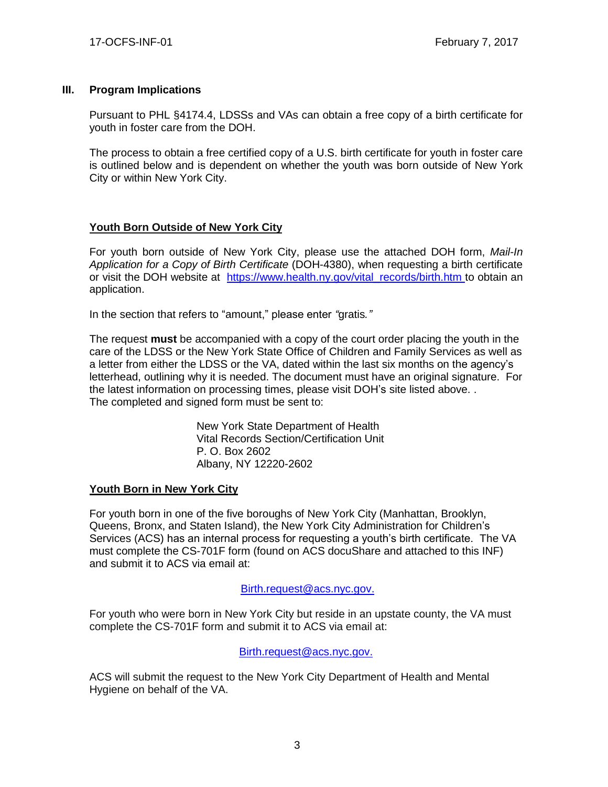## **III. Program Implications**

Pursuant to PHL §4174.4, LDSSs and VAs can obtain a free copy of a birth certificate for youth in foster care from the DOH.

The process to obtain a free certified copy of a U.S. birth certificate for youth in foster care is outlined below and is dependent on whether the youth was born outside of New York City or within New York City.

# **Youth Born Outside of New York City**

For youth born outside of New York City, please use the attached DOH form, *Mail-In Application for a Copy of Birth Certificate* (DOH-4380), when requesting a birth certificate or visit the DOH website at [https://www.health.ny.gov/vital\\_records/birth.htm](https://www.health.ny.gov/vital_records/birth.htm) to obtain an application.

In the section that refers to "amount," please enter *"*gratis*."*

The request **must** be accompanied with a copy of the court order placing the youth in the care of the LDSS or the New York State Office of Children and Family Services as well as a letter from either the LDSS or the VA, dated within the last six months on the agency's letterhead, outlining why it is needed. The document must have an original signature. For the latest information on processing times, please visit DOH's site listed above. . The completed and signed form must be sent to:

> New York State Department of Health Vital Records Section/Certification Unit P. O. Box 2602 Albany, NY 12220-2602

# **Youth Born in New York City**

For youth born in one of the five boroughs of New York City (Manhattan, Brooklyn, Queens, Bronx, and Staten Island), the New York City Administration for Children's Services (ACS) has an internal process for requesting a youth's birth certificate. The VA must complete the CS-701F form (found on ACS docuShare and attached to this INF) and submit it to ACS via email at:

## [Birth.request@acs.nyc.gov.](mailto:Birth.request@acs.nyc.gov)

For youth who were born in New York City but reside in an upstate county, the VA must complete the CS-701F form and submit it to ACS via email at:

## [Birth.request@acs.nyc.gov.](mailto:Birth.request@acs.nyc.gov)

ACS will submit the request to the New York City Department of Health and Mental Hygiene on behalf of the VA.